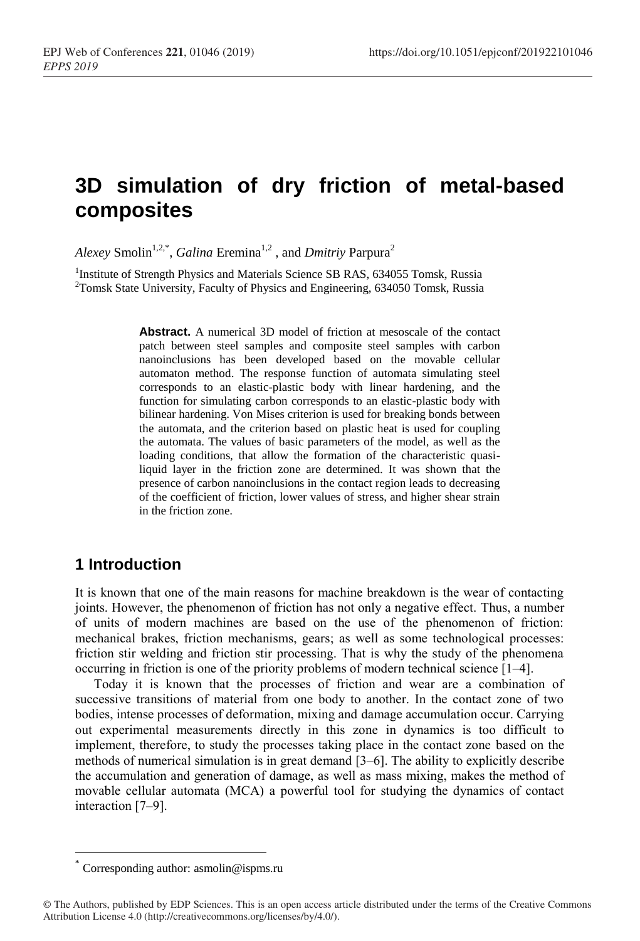# **3D simulation of dry friction of metal-based composites**

Alexey Smolin<sup>1,2,\*</sup>, *Galina* Eremina<sup>1,2</sup>, and *Dmitriy* Parpura<sup>2</sup>

<sup>1</sup>Institute of Strength Physics and Materials Science SB RAS, 634055 Tomsk, Russia <sup>2</sup>Tomsk State University, Faculty of Physics and Engineering, 634050 Tomsk, Russia

> **Abstract.** A numerical 3D model of friction at mesoscale of the contact patch between steel samples and composite steel samples with carbon nanoinclusions has been developed based on the movable cellular automaton method. The response function of automata simulating steel corresponds to an elastic-plastic body with linear hardening, and the function for simulating carbon corresponds to an elastic-plastic body with bilinear hardening. Von Mises criterion is used for breaking bonds between the automata, and the criterion based on plastic heat is used for coupling the automata. The values of basic parameters of the model, as well as the loading conditions, that allow the formation of the characteristic quasiliquid layer in the friction zone are determined. It was shown that the presence of carbon nanoinclusions in the contact region leads to decreasing of the coefficient of friction, lower values of stress, and higher shear strain in the friction zone.

## **1 Introduction**

It is known that one of the main reasons for machine breakdown is the wear of contacting joints. However, the phenomenon of friction has not only a negative effect. Thus, a number of units of modern machines are based on the use of the phenomenon of friction: mechanical brakes, friction mechanisms, gears; as well as some technological processes: friction stir welding and friction stir processing. That is why the study of the phenomena occurring in friction is one of the priority problems of modern technical science [1–4].

Today it is known that the processes of friction and wear are a combination of successive transitions of material from one body to another. In the contact zone of two bodies, intense processes of deformation, mixing and damage accumulation occur. Carrying out experimental measurements directly in this zone in dynamics is too difficult to implement, therefore, to study the processes taking place in the contact zone based on the methods of numerical simulation is in great demand [3–6]. The ability to explicitly describe the accumulation and generation of damage, as well as mass mixing, makes the method of movable cellular automata (MCA) a powerful tool for studying the dynamics of contact interaction [7–9].

<sup>\*</sup> Corresponding author: asmolin@ispms.ru

<sup>©</sup> The Authors, published by EDP Sciences. This is an open access article distributed under the terms of the Creative Commons Attribution License 4.0 (http://creativecommons.org/licenses/by/4.0/).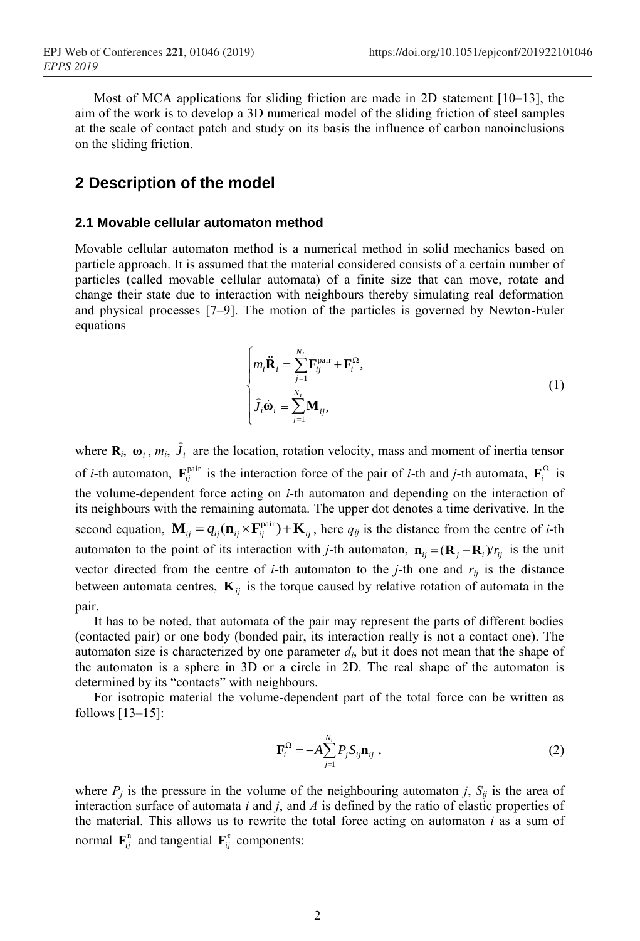Most of MCA applications for sliding friction are made in 2D statement  $[10-13]$ , the aim of the work is to develop a 3D numerical model of the sliding friction of steel samples at the scale of contact patch and study on its basis the influence of carbon nanoinclusions on the sliding friction.

### **2 Description of the model**

#### **2.1 Movable cellular automaton method**

Movable cellular automaton method is a numerical method in solid mechanics based on particle approach. It is assumed that the material considered consists of a certain number of particles (called movable cellular automata) of a finite size that can move, rotate and change their state due to interaction with neighbours thereby simulating real deformation and physical processes [7–9]. The motion of the particles is governed by Newton-Euler equations

$$
\begin{cases}\n m_i \ddot{\mathbf{R}}_i = \sum_{j=1}^{N_i} \mathbf{F}_{ij}^{\text{pair}} + \mathbf{F}_i^{\Omega}, \\
\hat{J}_i \dot{\mathbf{\omega}}_i = \sum_{j=1}^{N_i} \mathbf{M}_{ij},\n\end{cases}
$$
\n(1)

where  $\mathbf{R}_i$ ,  $\mathbf{\omega}_i$ ,  $m_i$ ,  $J_i$  $\hat{J}_i$  are the location, rotation velocity, mass and moment of inertia tensor of *i*-th automaton,  $\mathbf{F}_{ij}^{\text{pair}}$  is the interaction force of the pair of *i*-th and *j*-th automata,  $\mathbf{F}_{i}^{\Omega}$  is the volume-dependent force acting on *i*-th automaton and depending on the interaction of its neighbours with the remaining automata. The upper dot denotes a time derivative. In the second equation,  $\mathbf{M}_{ij} = q_{ij}(\mathbf{n}_{ij} \times \mathbf{F}_{ij}^{\text{pair}}) + \mathbf{K}_{ij}$ , here  $q_{ij}$  is the distance from the centre of *i*-th automaton to the point of its interaction with *j*-th automaton,  $\mathbf{n}_{ij} = (\mathbf{R}_j - \mathbf{R}_i) / r_{ij}$  is the unit vector directed from the centre of *i*-th automaton to the *j*-th one and  $r_{ij}$  is the distance between automata centres,  $\mathbf{K}_{ij}$  is the torque caused by relative rotation of automata in the pair.

It has to be noted, that automata of the pair may represent the parts of different bodies (contacted pair) or one body (bonded pair, its interaction really is not a contact one). The automaton size is characterized by one parameter  $d_i$ , but it does not mean that the shape of the automaton is a sphere in 3D or a circle in 2D. The real shape of the automaton is determined by its "contacts" with neighbours.

For isotropic material the volume-dependent part of the total force can be written as follows [13–15]:

$$
\mathbf{F}_i^{\Omega} = -A \sum_{j=1}^{N_i} P_j S_{ij} \mathbf{n}_{ij} .
$$
 (2)

where  $P_j$  is the pressure in the volume of the neighbouring automaton *j*,  $S_{ij}$  is the area of interaction surface of automata *i* and *j*, and *A* is defined by the ratio of elastic properties of the material. This allows us to rewrite the total force acting on automaton *i* as a sum of normal  $\mathbf{F}_{ij}^n$  and tangential  $\mathbf{F}_{ij}^{\tau}$  components: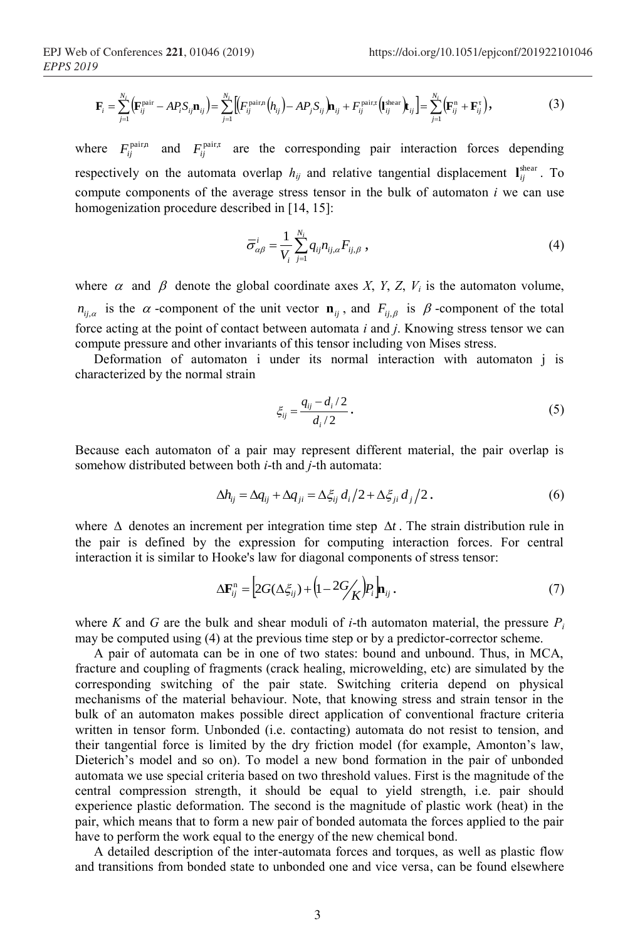$$
\mathbf{F}_{i} = \sum_{j=1}^{N_{i}} \left( \mathbf{F}_{ij}^{\text{pair}} - AP_{i}S_{ij}\mathbf{n}_{ij} \right) = \sum_{j=1}^{N_{i}} \left[ \left( F_{ij}^{\text{pair}}\left( h_{ij} \right) - AP_{j}S_{ij} \right) \mathbf{n}_{ij} + F_{ij}^{\text{pair}}\left( \mathbf{l}_{ij}^{\text{shear}} \right) \mathbf{t}_{ij} \right] = \sum_{j=1}^{N_{i}} \left( \mathbf{F}_{ij}^{n} + \mathbf{F}_{ij}^{\tau} \right),
$$
(3)

where  $F_{ij}^{\text{pair},\text{r}}$  and  $F_{ij}^{\text{pair},\text{r}}$  are the corresponding pair interaction forces depending respectively on the automata overlap  $h_{ij}$  and relative tangential displacement  $\mathbf{I}_{ij}^{\text{shear}}$ . To compute components of the average stress tensor in the bulk of automaton *i* we can use homogenization procedure described in [14, 15]:

$$
\overline{\sigma}_{\alpha\beta}^{i} = \frac{1}{V_i} \sum_{j=1}^{N_i} q_{ij} n_{ij,\alpha} F_{ij,\beta} , \qquad (4)
$$

where  $\alpha$  and  $\beta$  denote the global coordinate axes *X*, *Y*, *Z*, *V<sub>i</sub>* is the automaton volume,  $n_{ij,\alpha}$  is the  $\alpha$ -component of the unit vector  $\mathbf{n}_{ij}$ , and  $F_{ij,\beta}$  is  $\beta$ -component of the total force acting at the point of contact between automata *i* and *j*. Knowing stress tensor we can compute pressure and other invariants of this tensor including von Mises stress.

Deformation of automaton i under its normal interaction with automaton j is characterized by the normal strain

$$
\xi_{ij} = \frac{q_{ij} - d_i/2}{d_i/2} \,. \tag{5}
$$

Because each automaton of a pair may represent different material, the pair overlap is somehow distributed between both *i*-th and *j*-th automata:

$$
\Delta h_{ij} = \Delta q_{ij} + \Delta q_{ji} = \Delta \xi_{ij} d_i / 2 + \Delta \xi_{ji} d_j / 2. \tag{6}
$$

where  $\Delta$  denotes an increment per integration time step  $\Delta t$ . The strain distribution rule in the pair is defined by the expression for computing interaction forces. For central interaction it is similar to Hooke's law for diagonal components of stress tensor:

$$
\Delta \mathbf{F}_{ij}^n = \left[ 2G(\Delta \xi_{ij}) + \left( 1 - 2G'_{\mathcal{K}} \right) P_i \right] \mathbf{n}_{ij} \,. \tag{7}
$$

where *K* and *G* are the bulk and shear moduli of *i*-th automaton material, the pressure  $P_i$ may be computed using (4) at the previous time step or by a predictor-corrector scheme.

A pair of automata can be in one of two states: bound and unbound. Thus, in MCA, fracture and coupling of fragments (crack healing, microwelding, etc) are simulated by the corresponding switching of the pair state. Switching criteria depend on physical mechanisms of the material behaviour. Note, that knowing stress and strain tensor in the bulk of an automaton makes possible direct application of conventional fracture criteria written in tensor form. Unbonded (i.e. contacting) automata do not resist to tension, and their tangential force is limited by the dry friction model (for example, Amonton's law, Dieterich's model and so on). To model a new bond formation in the pair of unbonded automata we use special criteria based on two threshold values. First is the magnitude of the central compression strength, it should be equal to yield strength, i.e. pair should experience plastic deformation. The second is the magnitude of plastic work (heat) in the pair, which means that to form a new pair of bonded automata the forces applied to the pair have to perform the work equal to the energy of the new chemical bond.

A detailed description of the inter-automata forces and torques, as well as plastic flow and transitions from bonded state to unbonded one and vice versa, can be found elsewhere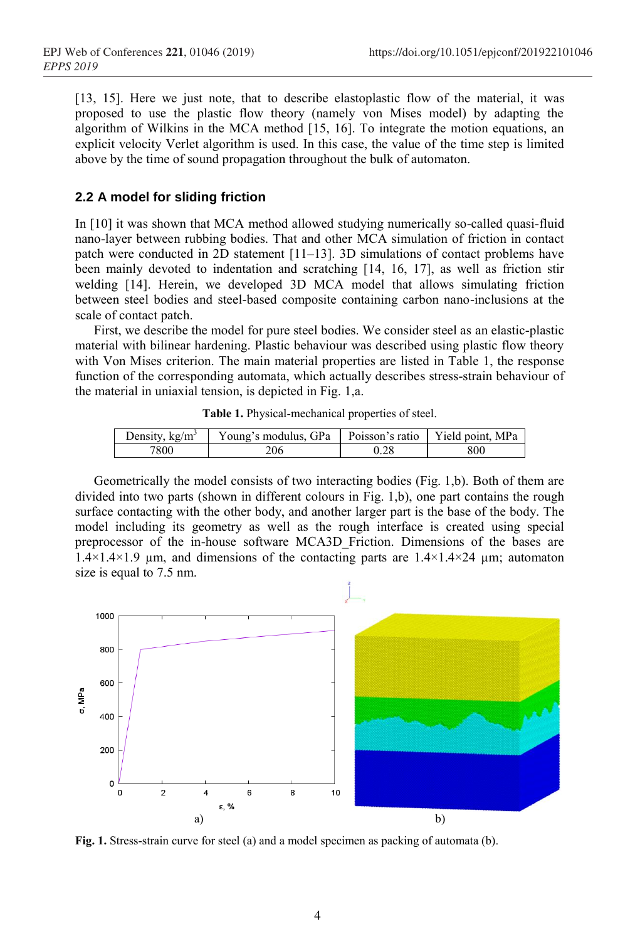[13, 15]. Here we just note, that to describe elastoplastic flow of the material, it was proposed to use the plastic flow theory (namely von Mises model) by adapting the algorithm of Wilkins in the MCA method  $\left[15, 16\right]$ . To integrate the motion equations, an explicit velocity Verlet algorithm is used. In this case, the value of the time step is limited above by the time of sound propagation throughout the bulk of automaton.

#### **2.2 A model for sliding friction**

In [10] it was shown that MCA method allowed studying numerically so-called quasi-fluid nano-layer between rubbing bodies. That and other MCA simulation of friction in contact patch were conducted in 2D statement [11–13]. 3D simulations of contact problems have been mainly devoted to indentation and scratching [14, 16, 17], as well as friction stir welding [14]. Herein, we developed 3D MCA model that allows simulating friction between steel bodies and steel-based composite containing carbon nano-inclusions at the scale of contact patch.

First, we describe the model for pure steel bodies. We consider steel as an elastic-plastic material with bilinear hardening. Plastic behaviour was described using plastic flow theory with Von Mises criterion. The main material properties are listed in Table 1, the response function of the corresponding automata, which actually describes stress-strain behaviour of the material in uniaxial tension, is depicted in Fig. 1,a.

**Table 1.** Physical-mechanical properties of steel.

| Density, $kg/m3$ | Young's modulus, GPa   Poisson's ratio   Yield point, MPa |     |
|------------------|-----------------------------------------------------------|-----|
| 7800             | 206                                                       | 800 |

Geometrically the model consists of two interacting bodies (Fig. 1,b). Both of them are divided into two parts (shown in different colours in Fig. 1,b), one part contains the rough surface contacting with the other body, and another larger part is the base of the body. The model including its geometry as well as the rough interface is created using special preprocessor of the in-house software MCA3D\_Friction. Dimensions of the bases are  $1.4\times1.4\times1.9$  µm, and dimensions of the contacting parts are  $1.4\times1.4\times24$  µm; automaton size is equal to 7.5 nm.



**Fig. 1.** Stress-strain curve for steel (a) and a model specimen as packing of automata (b).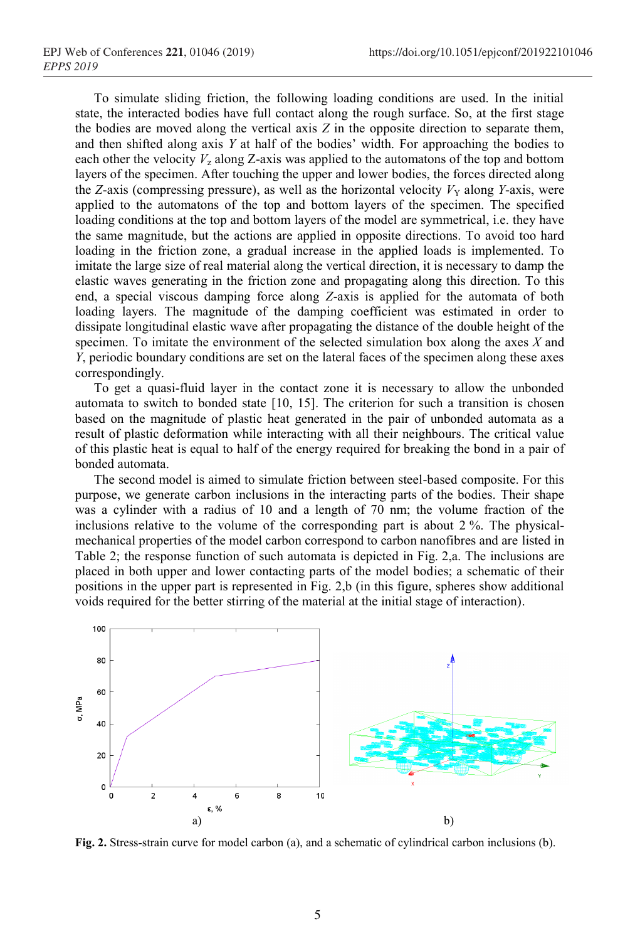To simulate sliding friction, the following loading conditions are used. In the initial state, the interacted bodies have full contact along the rough surface. So, at the first stage the bodies are moved along the vertical axis *Z* in the opposite direction to separate them, and then shifted along axis *Y* at half of the bodies' width. For approaching the bodies to each other the velocity  $V_z$  along Z-axis was applied to the automatons of the top and bottom layers of the specimen. After touching the upper and lower bodies, the forces directed along the *Z*-axis (compressing pressure), as well as the horizontal velocity  $V<sub>Y</sub>$  along *Y*-axis, were applied to the automatons of the top and bottom layers of the specimen. The specified loading conditions at the top and bottom layers of the model are symmetrical, i.e. they have the same magnitude, but the actions are applied in opposite directions. To avoid too hard loading in the friction zone, a gradual increase in the applied loads is implemented. To imitate the large size of real material along the vertical direction, it is necessary to damp the elastic waves generating in the friction zone and propagating along this direction. To this end, a special viscous damping force along *Z*-axis is applied for the automata of both loading layers. The magnitude of the damping coefficient was estimated in order to dissipate longitudinal elastic wave after propagating the distance of the double height of the specimen. To imitate the environment of the selected simulation box along the axes *X* and *Y*, periodic boundary conditions are set on the lateral faces of the specimen along these axes correspondingly.

To get a quasi-fluid layer in the contact zone it is necessary to allow the unbonded automata to switch to bonded state [10, 15]. The criterion for such a transition is chosen based on the magnitude of plastic heat generated in the pair of unbonded automata as a result of plastic deformation while interacting with all their neighbours. The critical value of this plastic heat is equal to half of the energy required for breaking the bond in a pair of bonded automata.

The second model is aimed to simulate friction between steel-based composite. For this purpose, we generate carbon inclusions in the interacting parts of the bodies. Their shape was a cylinder with a radius of 10 and a length of 70 nm; the volume fraction of the inclusions relative to the volume of the corresponding part is about 2 %. The physicalmechanical properties of the model carbon correspond to carbon nanofibres and are listed in Table 2; the response function of such automata is depicted in Fig. 2,a. The inclusions are placed in both upper and lower contacting parts of the model bodies; a schematic of their positions in the upper part is represented in Fig. 2,b (in this figure, spheres show additional voids required for the better stirring of the material at the initial stage of interaction).



**Fig. 2.** Stress-strain curve for model carbon (a), and a schematic of cylindrical carbon inclusions (b).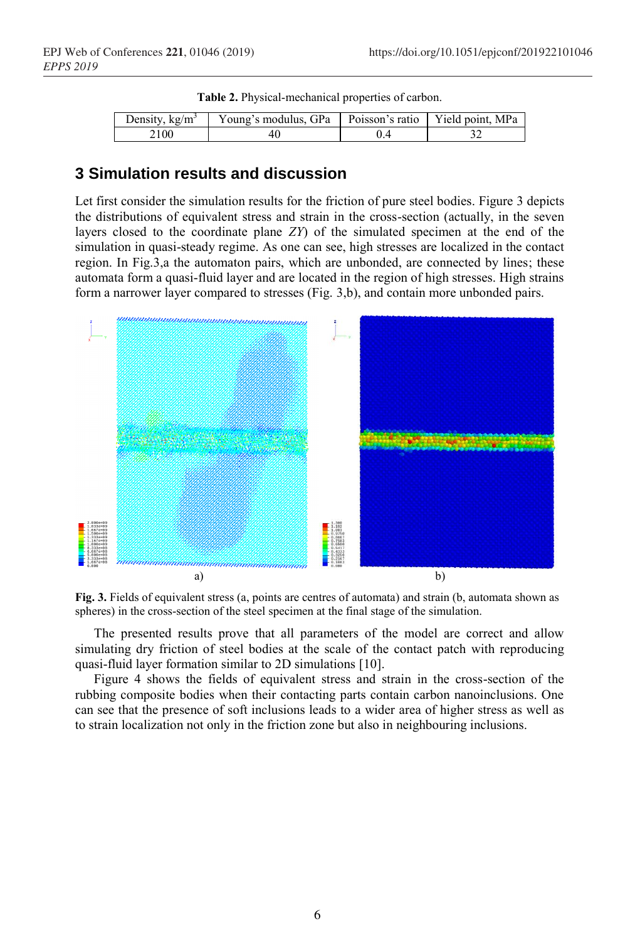| Density, $k\Omega/m^3$ | Young's modulus, GPa   Poisson's ratio   Yield point, MPa |  |
|------------------------|-----------------------------------------------------------|--|
|                        |                                                           |  |

#### **Table 2.** Physical-mechanical properties of carbon.

# **3 Simulation results and discussion**

Let first consider the simulation results for the friction of pure steel bodies. Figure 3 depicts the distributions of equivalent stress and strain in the cross-section (actually, in the seven layers closed to the coordinate plane *ZY*) of the simulated specimen at the end of the simulation in quasi-steady regime. As one can see, high stresses are localized in the contact region. In Fig.3,a the automaton pairs, which are unbonded, are connected by lines; these automata form a quasi-fluid layer and are located in the region of high stresses. High strains form a narrower layer compared to stresses (Fig. 3,b), and contain more unbonded pairs.



**Fig. 3.** Fields of equivalent stress (a, points are centres of automata) and strain (b, automata shown as spheres) in the cross-section of the steel specimen at the final stage of the simulation.

The presented results prove that all parameters of the model are correct and allow simulating dry friction of steel bodies at the scale of the contact patch with reproducing quasi-fluid layer formation similar to 2D simulations [10].

Figure 4 shows the fields of equivalent stress and strain in the cross-section of the rubbing composite bodies when their contacting parts contain carbon nanoinclusions. One can see that the presence of soft inclusions leads to a wider area of higher stress as well as to strain localization not only in the friction zone but also in neighbouring inclusions.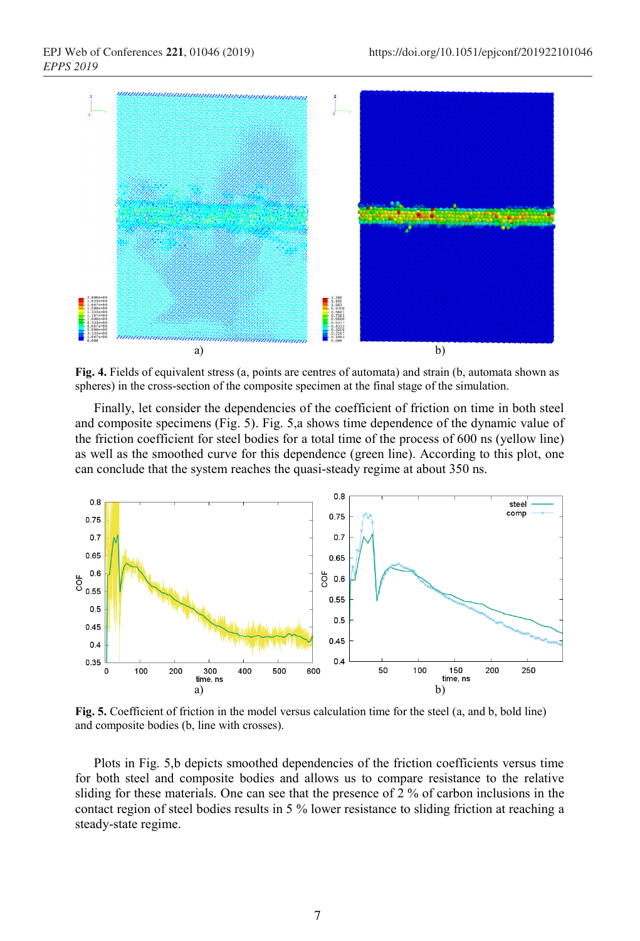

**Fig. 4.** Fields of equivalent stress (a, points are centres of automata) and strain (b, automata shown as spheres) in the cross-section of the composite specimen at the final stage of the simulation.

Finally, let consider the dependencies of the coefficient of friction on time in both steel and composite specimens (Fig. 5). Fig. 5,a shows time dependence of the dynamic value of the friction coefficient for steel bodies for a total time of the process of 600 ns (yellow line) as well as the smoothed curve for this dependence (green line). According to this plot, one can conclude that the system reaches the quasi-steady regime at about 350 ns.



**Fig. 5.** Coefficient of friction in the model versus calculation time for the steel (a, and b, bold line) and composite bodies (b, line with crosses).

Plots in Fig. 5,b depicts smoothed dependencies of the friction coefficients versus time for both steel and composite bodies and allows us to compare resistance to the relative sliding for these materials. One can see that the presence of 2 % of carbon inclusions in the contact region of steel bodies results in 5 % lower resistance to sliding friction at reaching a steady-state regime.